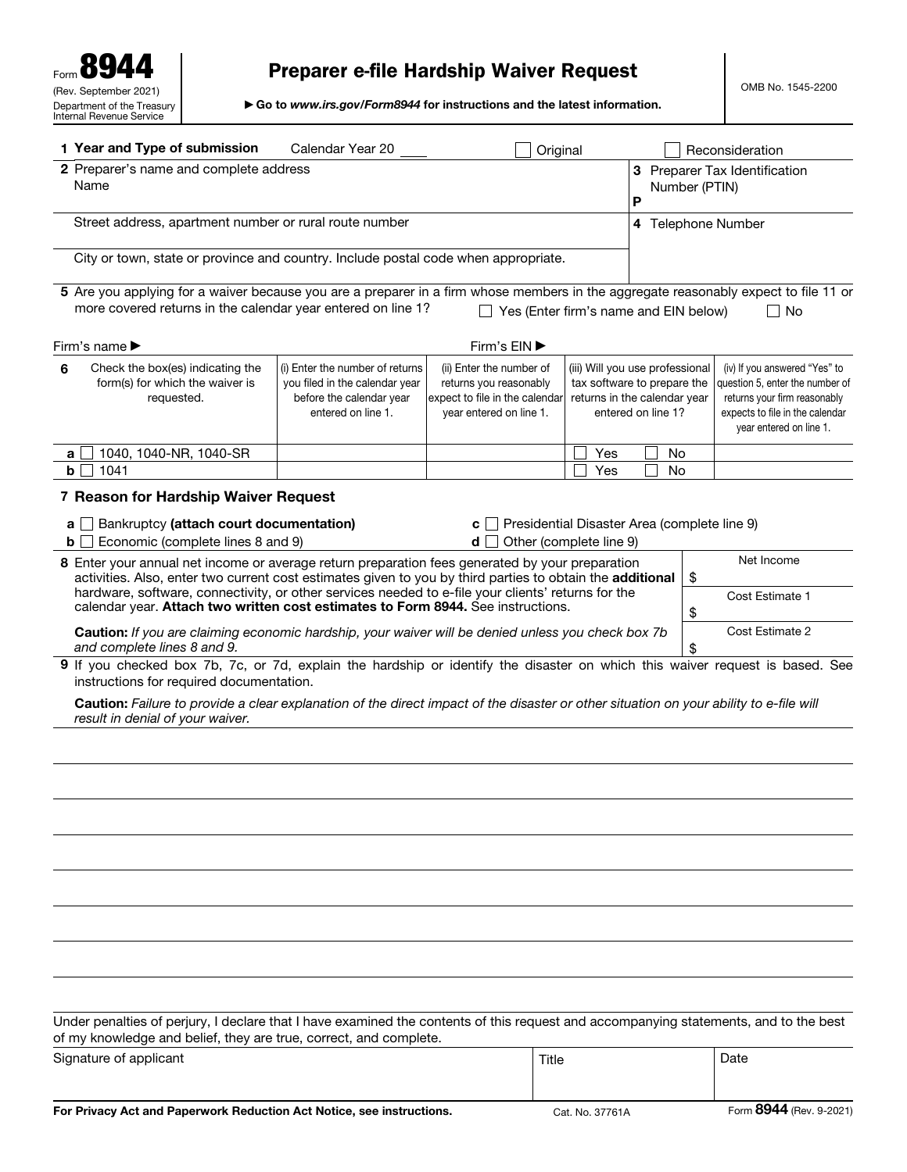# Preparer e-file Hardship Waiver Request

▶ Go to *www.irs.gov/Form8944* for instructions and the latest information.

|             | 1 Year and Type of submission                                                                                                                                                                                | Calendar Year 20                                                                                                    |                                                                                                                 | Original |  |                                                                                                                      |                                                     |           |    | Reconsideration                                                                                                                                                |
|-------------|--------------------------------------------------------------------------------------------------------------------------------------------------------------------------------------------------------------|---------------------------------------------------------------------------------------------------------------------|-----------------------------------------------------------------------------------------------------------------|----------|--|----------------------------------------------------------------------------------------------------------------------|-----------------------------------------------------|-----------|----|----------------------------------------------------------------------------------------------------------------------------------------------------------------|
|             | 2 Preparer's name and complete address<br>Name                                                                                                                                                               |                                                                                                                     |                                                                                                                 |          |  |                                                                                                                      | 3 Preparer Tax Identification<br>Number (PTIN)<br>P |           |    |                                                                                                                                                                |
|             | Street address, apartment number or rural route number                                                                                                                                                       |                                                                                                                     |                                                                                                                 |          |  | 4 Telephone Number                                                                                                   |                                                     |           |    |                                                                                                                                                                |
|             | City or town, state or province and country. Include postal code when appropriate.                                                                                                                           |                                                                                                                     |                                                                                                                 |          |  |                                                                                                                      |                                                     |           |    |                                                                                                                                                                |
|             | 5 Are you applying for a waiver because you are a preparer in a firm whose members in the aggregate reasonably expect to file 11 or<br>more covered returns in the calendar year entered on line 1?          |                                                                                                                     | $\Box$ Yes (Enter firm's name and EIN below)                                                                    |          |  |                                                                                                                      |                                                     |           |    | $\Box$ No                                                                                                                                                      |
|             | Firm's name ▶                                                                                                                                                                                                |                                                                                                                     | Firm's EIN ▶                                                                                                    |          |  |                                                                                                                      |                                                     |           |    |                                                                                                                                                                |
| 6           | Check the box(es) indicating the<br>form(s) for which the waiver is<br>requested.                                                                                                                            | (i) Enter the number of returns<br>you filed in the calendar year<br>before the calendar year<br>entered on line 1. | (ii) Enter the number of<br>returns you reasonably<br>expect to file in the calendar<br>year entered on line 1. |          |  | (iii) Will you use professional<br>tax software to prepare the<br>returns in the calendar year<br>entered on line 1? |                                                     |           |    | (iv) If you answered "Yes" to<br>question 5, enter the number of<br>returns your firm reasonably<br>expects to file in the calendar<br>year entered on line 1. |
| a           | 1040, 1040-NR, 1040-SR                                                                                                                                                                                       |                                                                                                                     |                                                                                                                 |          |  | Yes                                                                                                                  |                                                     | No.       |    |                                                                                                                                                                |
| $\mathbf b$ | 1041                                                                                                                                                                                                         |                                                                                                                     |                                                                                                                 |          |  | Yes                                                                                                                  |                                                     | <b>No</b> |    |                                                                                                                                                                |
|             | 7 Reason for Hardship Waiver Request                                                                                                                                                                         |                                                                                                                     |                                                                                                                 |          |  |                                                                                                                      |                                                     |           |    |                                                                                                                                                                |
| a l         | Bankruptcy (attach court documentation)<br>$\blacksquare$<br><b>b</b> $\Box$ Economic (complete lines 8 and 9)                                                                                               |                                                                                                                     | C<br>d l                                                                                                        |          |  | Presidential Disaster Area (complete line 9)<br>Other (complete line 9)                                              |                                                     |           |    |                                                                                                                                                                |
|             | 8 Enter your annual net income or average return preparation fees generated by your preparation<br>activities. Also, enter two current cost estimates given to you by third parties to obtain the additional |                                                                                                                     |                                                                                                                 |          |  |                                                                                                                      |                                                     |           | \$ | Net Income                                                                                                                                                     |
|             | hardware, software, connectivity, or other services needed to e-file your clients' returns for the<br>calendar year. Attach two written cost estimates to Form 8944. See instructions.                       |                                                                                                                     |                                                                                                                 |          |  |                                                                                                                      |                                                     |           | \$ | Cost Estimate 1                                                                                                                                                |
|             | Caution: If you are claiming economic hardship, your waiver will be denied unless you check box 7b<br>and complete lines 8 and 9.                                                                            |                                                                                                                     |                                                                                                                 |          |  |                                                                                                                      |                                                     |           | \$ | Cost Estimate 2                                                                                                                                                |
|             | 9 If you checked box 7b, 7c, or 7d, explain the hardship or identify the disaster on which this waiver request is based. See<br>instructions for required documentation.                                     |                                                                                                                     |                                                                                                                 |          |  |                                                                                                                      |                                                     |           |    |                                                                                                                                                                |
|             | Caution: Failure to provide a clear explanation of the direct impact of the disaster or other situation on your ability to e-file will<br>result in denial of your waiver.                                   |                                                                                                                     |                                                                                                                 |          |  |                                                                                                                      |                                                     |           |    |                                                                                                                                                                |
|             |                                                                                                                                                                                                              |                                                                                                                     |                                                                                                                 |          |  |                                                                                                                      |                                                     |           |    |                                                                                                                                                                |
|             |                                                                                                                                                                                                              |                                                                                                                     |                                                                                                                 |          |  |                                                                                                                      |                                                     |           |    |                                                                                                                                                                |
|             |                                                                                                                                                                                                              |                                                                                                                     |                                                                                                                 |          |  |                                                                                                                      |                                                     |           |    |                                                                                                                                                                |
|             |                                                                                                                                                                                                              |                                                                                                                     |                                                                                                                 |          |  |                                                                                                                      |                                                     |           |    |                                                                                                                                                                |
|             |                                                                                                                                                                                                              |                                                                                                                     |                                                                                                                 |          |  |                                                                                                                      |                                                     |           |    |                                                                                                                                                                |
|             |                                                                                                                                                                                                              |                                                                                                                     |                                                                                                                 |          |  |                                                                                                                      |                                                     |           |    |                                                                                                                                                                |
|             |                                                                                                                                                                                                              |                                                                                                                     |                                                                                                                 |          |  |                                                                                                                      |                                                     |           |    |                                                                                                                                                                |
|             |                                                                                                                                                                                                              |                                                                                                                     |                                                                                                                 |          |  |                                                                                                                      |                                                     |           |    |                                                                                                                                                                |
|             | Under penalties of perjury, I declare that I have examined the contents of this request and accompanying statements, and to the best<br>of my knowledge and belief, they are true, correct, and complete.    |                                                                                                                     |                                                                                                                 |          |  |                                                                                                                      |                                                     |           |    |                                                                                                                                                                |
|             | Signature of applicant                                                                                                                                                                                       |                                                                                                                     |                                                                                                                 | Title    |  |                                                                                                                      |                                                     |           |    | Date                                                                                                                                                           |
|             |                                                                                                                                                                                                              |                                                                                                                     |                                                                                                                 |          |  |                                                                                                                      |                                                     |           |    |                                                                                                                                                                |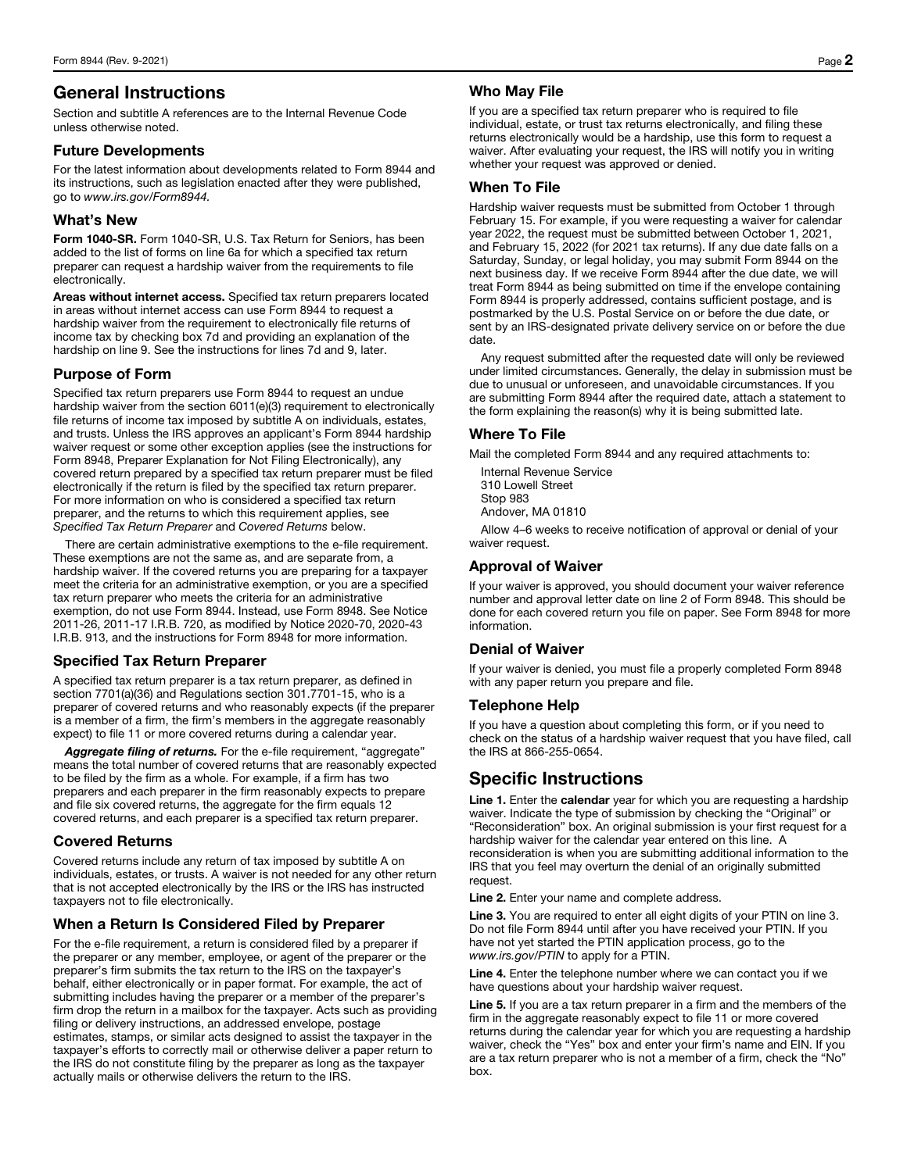# General Instructions

Section and subtitle A references are to the Internal Revenue Code unless otherwise noted.

#### Future Developments

For the latest information about developments related to Form 8944 and its instructions, such as legislation enacted after they were published, go to *www.irs.gov/Form8944.*

# What's New

Form 1040-SR. Form 1040-SR, U.S. Tax Return for Seniors, has been added to the list of forms on line 6a for which a specified tax return preparer can request a hardship waiver from the requirements to file electronically.

Areas without internet access. Specified tax return preparers located in areas without internet access can use Form 8944 to request a hardship waiver from the requirement to electronically file returns of income tax by checking box 7d and providing an explanation of the hardship on line 9. See the instructions for lines 7d and 9, later.

# Purpose of Form

Specified tax return preparers use Form 8944 to request an undue hardship waiver from the section 6011(e)(3) requirement to electronically file returns of income tax imposed by subtitle A on individuals, estates, and trusts. Unless the IRS approves an applicant's Form 8944 hardship waiver request or some other exception applies (see the instructions for Form 8948, Preparer Explanation for Not Filing Electronically), any covered return prepared by a specified tax return preparer must be filed electronically if the return is filed by the specified tax return preparer. For more information on who is considered a specified tax return preparer, and the returns to which this requirement applies, see *Specified Tax Return Preparer* and *Covered Returns* below.

There are certain administrative exemptions to the e-file requirement. These exemptions are not the same as, and are separate from, a hardship waiver. If the covered returns you are preparing for a taxpayer meet the criteria for an administrative exemption, or you are a specified tax return preparer who meets the criteria for an administrative exemption, do not use Form 8944. Instead, use Form 8948. See Notice 2011-26, 2011-17 I.R.B. 720, as modified by Notice 2020-70, 2020-43 I.R.B. 913, and the instructions for Form 8948 for more information.

# Specified Tax Return Preparer

A specified tax return preparer is a tax return preparer, as defined in section 7701(a)(36) and Regulations section 301.7701-15, who is a preparer of covered returns and who reasonably expects (if the preparer is a member of a firm, the firm's members in the aggregate reasonably expect) to file 11 or more covered returns during a calendar year.

Aggregate filing of returns. For the e-file requirement, "aggregate" means the total number of covered returns that are reasonably expected to be filed by the firm as a whole. For example, if a firm has two preparers and each preparer in the firm reasonably expects to prepare and file six covered returns, the aggregate for the firm equals 12 covered returns, and each preparer is a specified tax return preparer.

#### Covered Returns

Covered returns include any return of tax imposed by subtitle A on individuals, estates, or trusts. A waiver is not needed for any other return that is not accepted electronically by the IRS or the IRS has instructed taxpayers not to file electronically.

#### When a Return Is Considered Filed by Preparer

For the e-file requirement, a return is considered filed by a preparer if the preparer or any member, employee, or agent of the preparer or the preparer's firm submits the tax return to the IRS on the taxpayer's behalf, either electronically or in paper format. For example, the act of submitting includes having the preparer or a member of the preparer's firm drop the return in a mailbox for the taxpayer. Acts such as providing filing or delivery instructions, an addressed envelope, postage estimates, stamps, or similar acts designed to assist the taxpayer in the taxpayer's efforts to correctly mail or otherwise deliver a paper return to the IRS do not constitute filing by the preparer as long as the taxpayer actually mails or otherwise delivers the return to the IRS.

# Who May File

If you are a specified tax return preparer who is required to file individual, estate, or trust tax returns electronically, and filing these returns electronically would be a hardship, use this form to request a waiver. After evaluating your request, the IRS will notify you in writing whether your request was approved or denied.

#### When To File

Hardship waiver requests must be submitted from October 1 through February 15. For example, if you were requesting a waiver for calendar year 2022, the request must be submitted between October 1, 2021, and February 15, 2022 (for 2021 tax returns). If any due date falls on a Saturday, Sunday, or legal holiday, you may submit Form 8944 on the next business day. If we receive Form 8944 after the due date, we will treat Form 8944 as being submitted on time if the envelope containing Form 8944 is properly addressed, contains sufficient postage, and is postmarked by the U.S. Postal Service on or before the due date, or sent by an IRS-designated private delivery service on or before the due date.

Any request submitted after the requested date will only be reviewed under limited circumstances. Generally, the delay in submission must be due to unusual or unforeseen, and unavoidable circumstances. If you are submitting Form 8944 after the required date, attach a statement to the form explaining the reason(s) why it is being submitted late.

# Where To File

Mail the completed Form 8944 and any required attachments to:

Internal Revenue Service 310 Lowell Street Stop 983 Andover, MA 01810

Allow 4–6 weeks to receive notification of approval or denial of your waiver request.

# Approval of Waiver

If your waiver is approved, you should document your waiver reference number and approval letter date on line 2 of Form 8948. This should be done for each covered return you file on paper. See Form 8948 for more information.

#### Denial of Waiver

If your waiver is denied, you must file a properly completed Form 8948 with any paper return you prepare and file.

#### Telephone Help

If you have a question about completing this form, or if you need to check on the status of a hardship waiver request that you have filed, call the IRS at 866-255-0654.

# Specific Instructions

Line 1. Enter the calendar year for which you are requesting a hardship waiver. Indicate the type of submission by checking the "Original" or "Reconsideration" box. An original submission is your first request for a hardship waiver for the calendar year entered on this line. A reconsideration is when you are submitting additional information to the IRS that you feel may overturn the denial of an originally submitted request.

Line 2. Enter your name and complete address.

Line 3. You are required to enter all eight digits of your PTIN on line 3. Do not file Form 8944 until after you have received your PTIN. If you have not yet started the PTIN application process, go to the *www.irs.gov/PTIN* to apply for a PTIN.

Line 4. Enter the telephone number where we can contact you if we have questions about your hardship waiver request.

Line 5. If you are a tax return preparer in a firm and the members of the firm in the aggregate reasonably expect to file 11 or more covered returns during the calendar year for which you are requesting a hardship waiver, check the "Yes" box and enter your firm's name and EIN. If you are a tax return preparer who is not a member of a firm, check the "No" box.